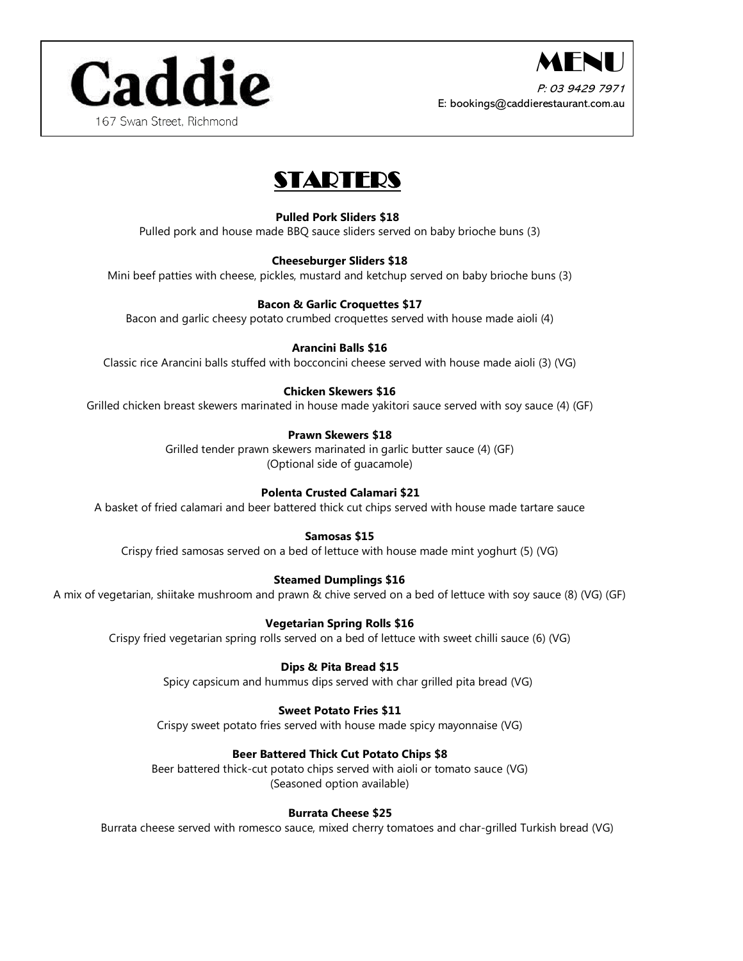



P: 03 9429 7971 E: bookings@caddierestaurant.com.au

# STARTERS

# **Pulled Pork Sliders \$18**

Pulled pork and house made BBQ sauce sliders served on baby brioche buns (3)

#### **Cheeseburger Sliders \$18**

Mini beef patties with cheese, pickles, mustard and ketchup served on baby brioche buns (3)

#### **Bacon & Garlic Croquettes \$17**

Bacon and garlic cheesy potato crumbed croquettes served with house made aioli (4)

## **Arancini Balls \$16**

Classic rice Arancini balls stuffed with bocconcini cheese served with house made aioli (3) (VG)

## **Chicken Skewers \$16**

Grilled chicken breast skewers marinated in house made yakitori sauce served with soy sauce (4) (GF)

#### **Prawn Skewers \$18**

Grilled tender prawn skewers marinated in garlic butter sauce (4) (GF) (Optional side of guacamole)

## **Polenta Crusted Calamari \$21**

A basket of fried calamari and beer battered thick cut chips served with house made tartare sauce

## **Samosas \$15**

Crispy fried samosas served on a bed of lettuce with house made mint yoghurt (5) (VG)

## **Steamed Dumplings \$16**

A mix of vegetarian, shiitake mushroom and prawn & chive served on a bed of lettuce with soy sauce (8) (VG) (GF)

## **Vegetarian Spring Rolls \$16**

Crispy fried vegetarian spring rolls served on a bed of lettuce with sweet chilli sauce (6) (VG)

## **Dips & Pita Bread \$15**

Spicy capsicum and hummus dips served with char grilled pita bread (VG)

## **Sweet Potato Fries \$11**

Crispy sweet potato fries served with house made spicy mayonnaise (VG)

## **Beer Battered Thick Cut Potato Chips \$8**

Beer battered thick-cut potato chips served with aioli or tomato sauce (VG) (Seasoned option available)

## **Burrata Cheese \$25**

Burrata cheese served with romesco sauce, mixed cherry tomatoes and char-grilled Turkish bread (VG)